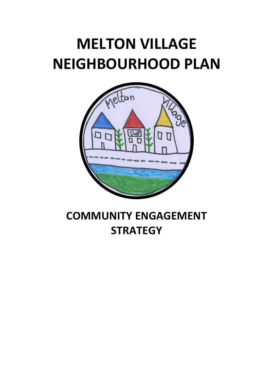# **MELTON VILLAGE NEIGHBOURHOOD PLAN**



# **COMMUNITY ENGAGEMENT STRATEGY**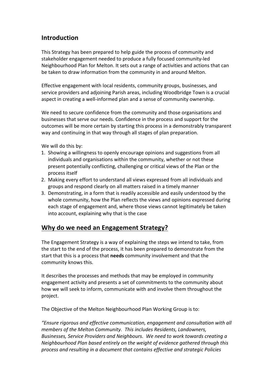#### **Introduction**

This Strategy has been prepared to help guide the process of community and stakeholder engagement needed to produce a fully focused community-led Neighbourhood Plan for Melton. It sets out a range of activities and actions that can be taken to draw information from the community in and around Melton.

Effective engagement with local residents, community groups, businesses, and service providers and adjoining Parish areas, including Woodbridge Town is a crucial aspect in creating a well-informed plan and a sense of community ownership.

We need to secure confidence from the community and those organisations and businesses that serve our needs. Confidence in the process and support for the outcomes will be more certain by starting this process in a demonstrably transparent way and continuing in that way through all stages of plan preparation.

We will do this by:

- 1. Showing a willingness to openly encourage opinions and suggestions from all individuals and organisations within the community, whether or not these present potentially conflicting, challenging or critical views of the Plan or the process itself
- 2. Making every effort to understand all views expressed from all individuals and groups and respond clearly on all matters raised in a timely manner
- 3. Demonstrating, in a form that is readily accessible and easily understood by the whole community, how the Plan reflects the views and opinions expressed during each stage of engagement and, where those views cannot legitimately be taken into account, explaining why that is the case

### **Why do we need an Engagement Strategy?**

The Engagement Strategy is a way of explaining the steps we intend to take, from the start to the end of the process, it has been prepared to demonstrate from the start that this is a process that **needs** community involvement and that the community knows this.

It describes the processes and methods that may be employed in community engagement activity and presents a set of commitments to the community about how we will seek to inform, communicate with and involve them throughout the project.

The Objective of the Melton Neighbourhood Plan Working Group is to:

*"Ensure rigorous and effective communication, engagement and consultation with all members of the Melton Community. This includes Residents, Landowners, Businesses, Service Providers and Neighbours. We need to work towards creating a Neighbourhood Plan based entirely on the weight of evidence gathered through this process and resulting in a document that contains effective and strategic Policies*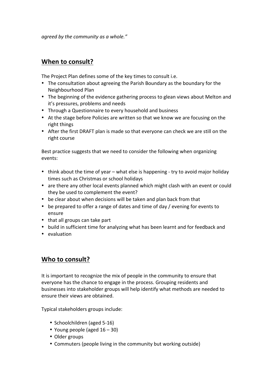*agreed by the community as a whole."* 

### **When to consult?**

The Project Plan defines some of the key times to consult i.e.

- The consultation about agreeing the Parish Boundary as the boundary for the Neighbourhood Plan
- The beginning of the evidence gathering process to glean views about Melton and it's pressures, problems and needs
- Through a Questionnaire to every household and business
- At the stage before Policies are written so that we know we are focusing on the right things
- After the first DRAFT plan is made so that everyone can check we are still on the right course

Best practice suggests that we need to consider the following when organizing events:

- think about the time of year what else is happening try to avoid major holiday times such as Christmas or school holidays
- are there any other local events planned which might clash with an event or could they be used to complement the event?
- be clear about when decisions will be taken and plan back from that
- be prepared to offer a range of dates and time of day / evening for events to ensure
- that all groups can take part
- build in sufficient time for analyzing what has been learnt and for feedback and
- evaluation

## **Who to consult?**

It is important to recognize the mix of people in the community to ensure that everyone has the chance to engage in the process. Grouping residents and businesses into stakeholder groups will help identify what methods are needed to ensure their views are obtained.

Typical stakeholders groups include:

- Schoolchildren (aged 5-16)
- Young people (aged  $16 30$ )
- Older groups
- Commuters (people living in the community but working outside)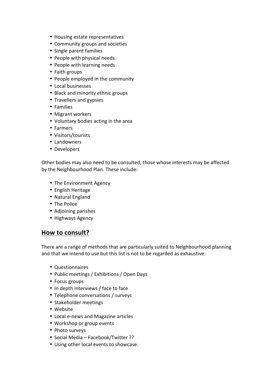- Housing estate representatives
- Community groups and societies
- Single parent families
- People with physical needs
- People with learning needs
- Faith groups
- People employed in the community
- Local businesses
- Black and minority ethnic groups
- Travellers and gypsies
- Families
- Migrant workers
- Voluntary bodies acting in the area
- Farmers
- Visitors/tourists
- Landowners
- Developers

Other bodies may also need to be consulted, those whose interests may be affected by the Neighbourhood Plan. These include:

- The Environment Agency
- English Heritage
- Natural England
- The Police
- Adjoining parishes
- Highways Agency

#### How to consult?

There are a range of methods that are particularly suited to Neighbourhood planning and that we intend to use but this list is not to be regarded as exhaustive:

- Questionnaires
- Public meetings / Exhibitions / Open Days
- Focus groups
- In depth interviews / face to face
- Telephone conversations / surveys
- Stakeholder meetings
- Website
- Local e-news and Magazine articles
- Workshop or group events
- Photo surveys
- Social Media Facebook/Twitter ??
- Using other local events to showcase.